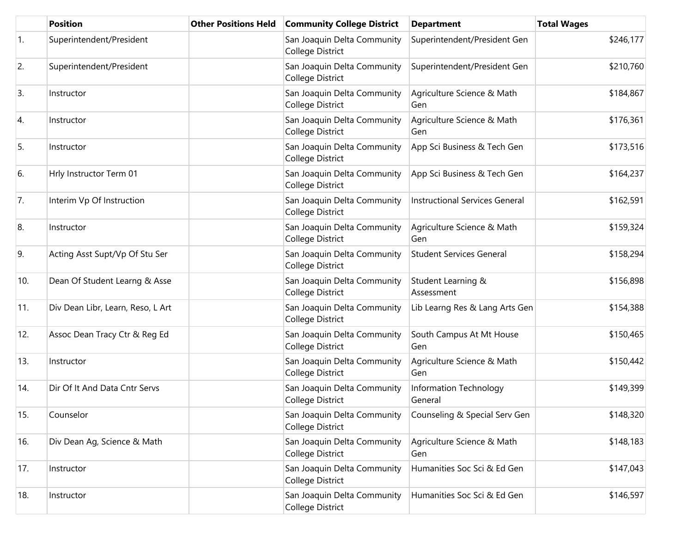|     | <b>Position</b>                   | <b>Other Positions Held</b> | <b>Community College District</b>               | <b>Department</b>                 | <b>Total Wages</b> |
|-----|-----------------------------------|-----------------------------|-------------------------------------------------|-----------------------------------|--------------------|
| 1.  | Superintendent/President          |                             | San Joaquin Delta Community<br>College District | Superintendent/President Gen      | \$246,177          |
| 2.  | Superintendent/President          |                             | San Joaquin Delta Community<br>College District | Superintendent/President Gen      | \$210,760          |
| 3.  | Instructor                        |                             | San Joaquin Delta Community<br>College District | Agriculture Science & Math<br>Gen | \$184,867          |
| 4.  | Instructor                        |                             | San Joaquin Delta Community<br>College District | Agriculture Science & Math<br>Gen | \$176,361          |
| 5.  | Instructor                        |                             | San Joaquin Delta Community<br>College District | App Sci Business & Tech Gen       | \$173,516          |
| 6.  | Hrly Instructor Term 01           |                             | San Joaquin Delta Community<br>College District | App Sci Business & Tech Gen       | \$164,237          |
| 7.  | Interim Vp Of Instruction         |                             | San Joaquin Delta Community<br>College District | Instructional Services General    | \$162,591          |
| 8.  | Instructor                        |                             | San Joaquin Delta Community<br>College District | Agriculture Science & Math<br>Gen | \$159,324          |
| 9.  | Acting Asst Supt/Vp Of Stu Ser    |                             | San Joaquin Delta Community<br>College District | <b>Student Services General</b>   | \$158,294          |
| 10. | Dean Of Student Learng & Asse     |                             | San Joaquin Delta Community<br>College District | Student Learning &<br>Assessment  | \$156,898          |
| 11. | Div Dean Libr, Learn, Reso, L Art |                             | San Joaquin Delta Community<br>College District | Lib Learng Res & Lang Arts Gen    | \$154,388          |
| 12. | Assoc Dean Tracy Ctr & Reg Ed     |                             | San Joaquin Delta Community<br>College District | South Campus At Mt House<br>Gen   | \$150,465          |
| 13. | Instructor                        |                             | San Joaquin Delta Community<br>College District | Agriculture Science & Math<br>Gen | \$150,442          |
| 14. | Dir Of It And Data Cntr Servs     |                             | San Joaquin Delta Community<br>College District | Information Technology<br>General | \$149,399          |
| 15. | Counselor                         |                             | San Joaquin Delta Community<br>College District | Counseling & Special Serv Gen     | \$148,320          |
| 16. | Div Dean Ag, Science & Math       |                             | San Joaquin Delta Community<br>College District | Agriculture Science & Math<br>Gen | \$148,183          |
| 17. | Instructor                        |                             | San Joaquin Delta Community<br>College District | Humanities Soc Sci & Ed Gen       | \$147,043          |
| 18. | Instructor                        |                             | San Joaquin Delta Community<br>College District | Humanities Soc Sci & Ed Gen       | \$146,597          |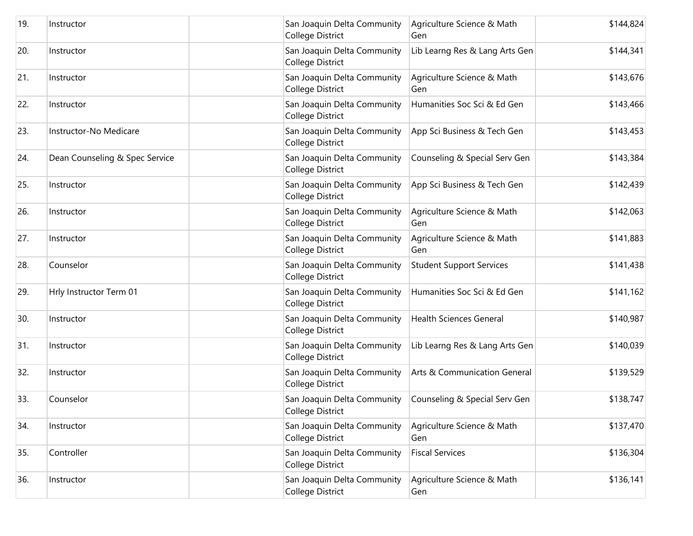| 19. | Instructor                     | San Joaquin Delta Community<br>College District | Agriculture Science & Math<br>Gen | \$144,824 |
|-----|--------------------------------|-------------------------------------------------|-----------------------------------|-----------|
| 20. | Instructor                     | San Joaquin Delta Community<br>College District | Lib Learng Res & Lang Arts Gen    | \$144,341 |
| 21. | Instructor                     | San Joaquin Delta Community<br>College District | Agriculture Science & Math<br>Gen | \$143,676 |
| 22. | Instructor                     | San Joaquin Delta Community<br>College District | Humanities Soc Sci & Ed Gen       | \$143,466 |
| 23. | Instructor-No Medicare         | San Joaquin Delta Community<br>College District | App Sci Business & Tech Gen       | \$143,453 |
| 24. | Dean Counseling & Spec Service | San Joaquin Delta Community<br>College District | Counseling & Special Serv Gen     | \$143,384 |
| 25. | Instructor                     | San Joaquin Delta Community<br>College District | App Sci Business & Tech Gen       | \$142,439 |
| 26. | Instructor                     | San Joaquin Delta Community<br>College District | Agriculture Science & Math<br>Gen | \$142,063 |
| 27. | Instructor                     | San Joaquin Delta Community<br>College District | Agriculture Science & Math<br>Gen | \$141,883 |
| 28. | Counselor                      | San Joaquin Delta Community<br>College District | <b>Student Support Services</b>   | \$141,438 |
| 29. | Hrly Instructor Term 01        | San Joaquin Delta Community<br>College District | Humanities Soc Sci & Ed Gen       | \$141,162 |
| 30. | Instructor                     | San Joaquin Delta Community<br>College District | <b>Health Sciences General</b>    | \$140,987 |
| 31. | Instructor                     | San Joaquin Delta Community<br>College District | Lib Learng Res & Lang Arts Gen    | \$140,039 |
| 32. | Instructor                     | San Joaquin Delta Community<br>College District | Arts & Communication General      | \$139,529 |
| 33. | Counselor                      | San Joaquin Delta Community<br>College District | Counseling & Special Serv Gen     | \$138,747 |
| 34. | Instructor                     | San Joaquin Delta Community<br>College District | Agriculture Science & Math<br>Gen | \$137,470 |
| 35. | Controller                     | San Joaquin Delta Community<br>College District | <b>Fiscal Services</b>            | \$136,304 |
| 36. | Instructor                     | San Joaquin Delta Community<br>College District | Agriculture Science & Math<br>Gen | \$136,141 |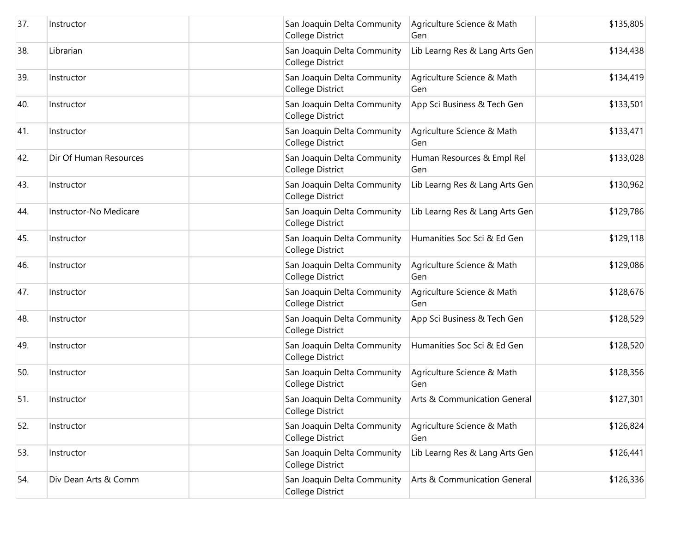| 37. | Instructor             | San Joaquin Delta Community<br>College District<br>Gen | Agriculture Science & Math<br>\$135,805              |
|-----|------------------------|--------------------------------------------------------|------------------------------------------------------|
| 38. | Librarian              | San Joaquin Delta Community<br><b>College District</b> | Lib Learng Res & Lang Arts Gen<br>\$134,438          |
| 39. | Instructor             | San Joaquin Delta Community<br>College District<br>Gen | Agriculture Science & Math<br>\$134,419              |
| 40. | Instructor             | San Joaquin Delta Community<br><b>College District</b> | \$133,501<br>App Sci Business & Tech Gen             |
| 41. | Instructor             | San Joaquin Delta Community<br>College District<br>Gen | Agriculture Science & Math<br>\$133,471              |
| 42. | Dir Of Human Resources | San Joaquin Delta Community<br>College District<br>Gen | Human Resources & Empl Rel<br>\$133,028              |
| 43. | Instructor             | San Joaquin Delta Community<br>College District        | Lib Learng Res & Lang Arts Gen<br>\$130,962          |
| 44. | Instructor-No Medicare | San Joaquin Delta Community<br>College District        | Lib Learng Res & Lang Arts Gen<br>\$129,786          |
| 45. | Instructor             | San Joaquin Delta Community<br>College District        | Humanities Soc Sci & Ed Gen<br>\$129,118             |
| 46. | Instructor             | San Joaquin Delta Community<br>College District<br>Gen | Agriculture Science & Math<br>\$129,086              |
| 47. | Instructor             | San Joaquin Delta Community<br>College District<br>Gen | \$128,676<br>Agriculture Science & Math              |
| 48. | Instructor             | San Joaquin Delta Community<br>College District        | App Sci Business & Tech Gen<br>\$128,529             |
| 49. | Instructor             | San Joaquin Delta Community<br>College District        | Humanities Soc Sci & Ed Gen<br>\$128,520             |
| 50. | Instructor             | San Joaquin Delta Community<br>College District<br>Gen | Agriculture Science & Math<br>\$128,356              |
| 51. | Instructor             | San Joaquin Delta Community<br>College District        | \$127,301<br><b>Arts &amp; Communication General</b> |
| 52. | Instructor             | San Joaquin Delta Community<br>College District<br>Gen | \$126,824<br>Agriculture Science & Math              |
| 53. | Instructor             | San Joaquin Delta Community<br>College District        | Lib Learng Res & Lang Arts Gen<br>\$126,441          |
| 54. | Div Dean Arts & Comm   | San Joaquin Delta Community<br>College District        | Arts & Communication General<br>\$126,336            |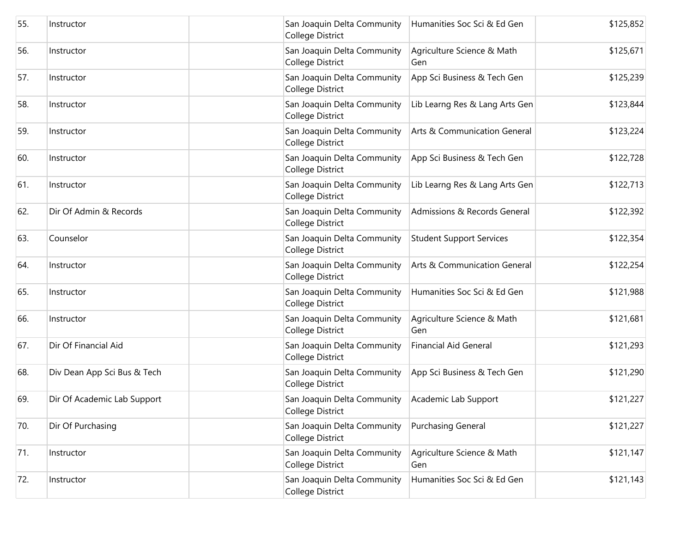| 55. | Instructor                  | San Joaquin Delta Community<br>College District        | Humanities Soc Sci & Ed Gen             | \$125,852 |
|-----|-----------------------------|--------------------------------------------------------|-----------------------------------------|-----------|
| 56. | Instructor                  | San Joaquin Delta Community<br><b>College District</b> | Agriculture Science & Math<br>Gen       | \$125,671 |
| 57. | Instructor                  | San Joaquin Delta Community<br>College District        | App Sci Business & Tech Gen             | \$125,239 |
| 58. | Instructor                  | San Joaquin Delta Community<br>College District        | Lib Learng Res & Lang Arts Gen          | \$123,844 |
| 59. | Instructor                  | San Joaquin Delta Community<br>College District        | <b>Arts &amp; Communication General</b> | \$123,224 |
| 60. | Instructor                  | San Joaquin Delta Community<br>College District        | App Sci Business & Tech Gen             | \$122,728 |
| 61. | Instructor                  | San Joaquin Delta Community<br>College District        | Lib Learng Res & Lang Arts Gen          | \$122,713 |
| 62. | Dir Of Admin & Records      | San Joaquin Delta Community<br>College District        | Admissions & Records General            | \$122,392 |
| 63. | Counselor                   | San Joaquin Delta Community<br>College District        | <b>Student Support Services</b>         | \$122,354 |
| 64. | Instructor                  | San Joaquin Delta Community<br>College District        | Arts & Communication General            | \$122,254 |
| 65. | Instructor                  | San Joaquin Delta Community<br>College District        | Humanities Soc Sci & Ed Gen             | \$121,988 |
| 66. | Instructor                  | San Joaquin Delta Community<br>College District        | Agriculture Science & Math<br>Gen       | \$121,681 |
| 67. | Dir Of Financial Aid        | San Joaquin Delta Community<br>College District        | <b>Financial Aid General</b>            | \$121,293 |
| 68. | Div Dean App Sci Bus & Tech | San Joaquin Delta Community<br>College District        | App Sci Business & Tech Gen             | \$121,290 |
| 69. | Dir Of Academic Lab Support | San Joaquin Delta Community<br>College District        | Academic Lab Support                    | \$121,227 |
| 70. | Dir Of Purchasing           | San Joaquin Delta Community<br>College District        | <b>Purchasing General</b>               | \$121,227 |
| 71. | Instructor                  | San Joaquin Delta Community<br>College District        | Agriculture Science & Math<br>Gen       | \$121,147 |
| 72. | Instructor                  | San Joaquin Delta Community<br>College District        | Humanities Soc Sci & Ed Gen             | \$121,143 |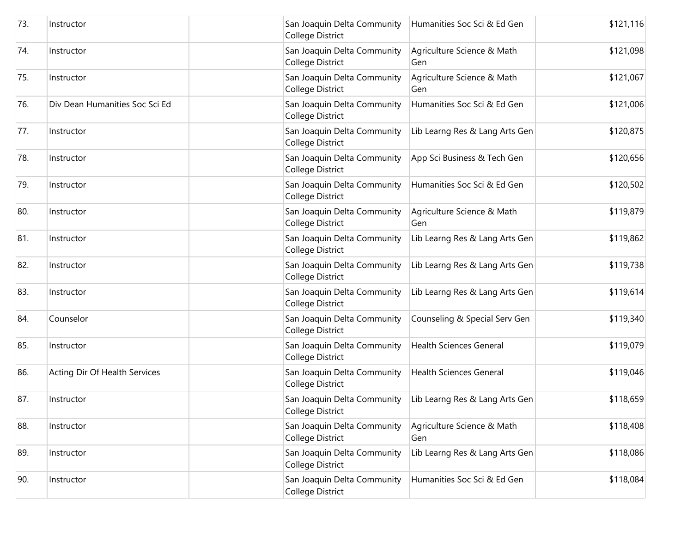| 73. | Instructor                     | San Joaquin Delta Community<br>College District        | Humanities Soc Sci & Ed Gen       | \$121,116 |
|-----|--------------------------------|--------------------------------------------------------|-----------------------------------|-----------|
| 74. | Instructor                     | San Joaquin Delta Community<br><b>College District</b> | Agriculture Science & Math<br>Gen | \$121,098 |
| 75. | Instructor                     | San Joaquin Delta Community<br>College District        | Agriculture Science & Math<br>Gen | \$121,067 |
| 76. | Div Dean Humanities Soc Sci Ed | San Joaquin Delta Community<br>College District        | Humanities Soc Sci & Ed Gen       | \$121,006 |
| 77. | Instructor                     | San Joaquin Delta Community<br>College District        | Lib Learng Res & Lang Arts Gen    | \$120,875 |
| 78. | Instructor                     | San Joaquin Delta Community<br>College District        | App Sci Business & Tech Gen       | \$120,656 |
| 79. | Instructor                     | San Joaquin Delta Community<br>College District        | Humanities Soc Sci & Ed Gen       | \$120,502 |
| 80. | Instructor                     | San Joaquin Delta Community<br>College District        | Agriculture Science & Math<br>Gen | \$119,879 |
| 81. | Instructor                     | San Joaquin Delta Community<br>College District        | Lib Learng Res & Lang Arts Gen    | \$119,862 |
| 82. | Instructor                     | San Joaquin Delta Community<br>College District        | Lib Learng Res & Lang Arts Gen    | \$119,738 |
| 83. | Instructor                     | San Joaquin Delta Community<br><b>College District</b> | Lib Learng Res & Lang Arts Gen    | \$119,614 |
| 84. | Counselor                      | San Joaquin Delta Community<br>College District        | Counseling & Special Serv Gen     | \$119,340 |
| 85. | Instructor                     | San Joaquin Delta Community<br>College District        | <b>Health Sciences General</b>    | \$119,079 |
| 86. | Acting Dir Of Health Services  | San Joaquin Delta Community<br>College District        | <b>Health Sciences General</b>    | \$119,046 |
| 87. | Instructor                     | San Joaquin Delta Community<br>College District        | Lib Learng Res & Lang Arts Gen    | \$118,659 |
| 88. | Instructor                     | San Joaquin Delta Community<br>College District        | Agriculture Science & Math<br>Gen | \$118,408 |
| 89. | Instructor                     | San Joaquin Delta Community<br>College District        | Lib Learng Res & Lang Arts Gen    | \$118,086 |
| 90. | Instructor                     | San Joaquin Delta Community<br>College District        | Humanities Soc Sci & Ed Gen       | \$118,084 |